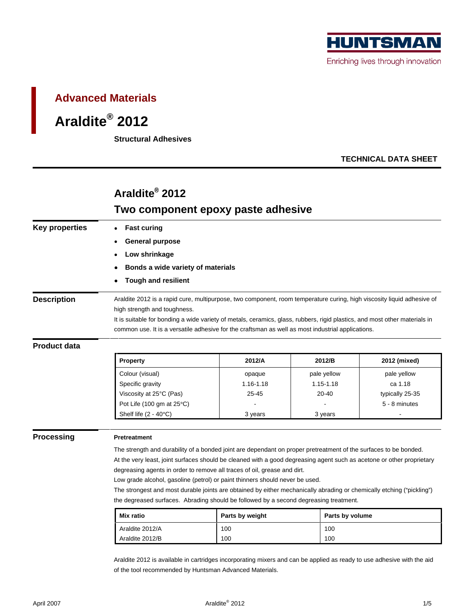

# **Advanced Materials**

### **Araldite® 2012**

**Structural Adhesives**

## **TECHNICAL DATA SHEET**

## **Araldite® 2012**

# **Two component epoxy paste adhesive**

| <b>Key properties</b> | • Fast curing                                                                                     |                                                                                                                            |                 |                 |  |  |
|-----------------------|---------------------------------------------------------------------------------------------------|----------------------------------------------------------------------------------------------------------------------------|-----------------|-----------------|--|--|
|                       | • General purpose                                                                                 |                                                                                                                            |                 |                 |  |  |
|                       | • Low shrinkage                                                                                   |                                                                                                                            |                 |                 |  |  |
|                       |                                                                                                   |                                                                                                                            |                 |                 |  |  |
|                       | • Bonds a wide variety of materials                                                               |                                                                                                                            |                 |                 |  |  |
|                       | • Tough and resilient                                                                             |                                                                                                                            |                 |                 |  |  |
| <b>Description</b>    |                                                                                                   | Araldite 2012 is a rapid cure, multipurpose, two component, room temperature curing, high viscosity liquid adhesive of     |                 |                 |  |  |
|                       | high strength and toughness.                                                                      |                                                                                                                            |                 |                 |  |  |
|                       |                                                                                                   | It is suitable for bonding a wide variety of metals, ceramics, glass, rubbers, rigid plastics, and most other materials in |                 |                 |  |  |
|                       | common use. It is a versatile adhesive for the craftsman as well as most industrial applications. |                                                                                                                            |                 |                 |  |  |
| <b>Product data</b>   |                                                                                                   |                                                                                                                            |                 |                 |  |  |
|                       |                                                                                                   |                                                                                                                            |                 |                 |  |  |
|                       | Property                                                                                          | 2012/A                                                                                                                     | 2012/B          | 2012 (mixed)    |  |  |
|                       | Colour (visual)                                                                                   | opaque                                                                                                                     | pale yellow     | pale yellow     |  |  |
|                       | Specific gravity                                                                                  | 1.16-1.18                                                                                                                  | $1.15 - 1.18$   | ca 1.18         |  |  |
|                       | Viscosity at 25°C (Pas)                                                                           | 25-45                                                                                                                      | 20-40           | typically 25-35 |  |  |
|                       | Pot Life (100 gm at 25°C)                                                                         |                                                                                                                            | $\sim 10^{-10}$ | 5 - 8 minutes   |  |  |
|                       | Shelf life $(2 - 40^{\circ}C)$                                                                    | 3 years                                                                                                                    | 3 years         |                 |  |  |
|                       |                                                                                                   |                                                                                                                            |                 |                 |  |  |
| <b>Processing</b>     | Pretreatment                                                                                      |                                                                                                                            |                 |                 |  |  |
|                       |                                                                                                   | The strength and durability of a bonded joint are dependant on proper pretreatment of the surfaces to be bonded.           |                 |                 |  |  |
|                       |                                                                                                   | At the very least, joint surfaces should be cleaned with a good degreasing agent such as acetone or other proprietary      |                 |                 |  |  |
|                       |                                                                                                   | degreasing agents in order to remove all traces of oil, grease and dirt.                                                   |                 |                 |  |  |
|                       |                                                                                                   | Low grade alcohol, gasoline (petrol) or paint thinners should never be used.                                               |                 |                 |  |  |
|                       |                                                                                                   | The strongest and most durable joints are obtained by either mechanically abrading or chemically etching ("pickling")      |                 |                 |  |  |
|                       |                                                                                                   | the degreased surfaces. Abrading should be followed by a second degreasing treatment.                                      |                 |                 |  |  |
|                       | Mix ratio                                                                                         | Parts by weight                                                                                                            | Parts by volume |                 |  |  |
|                       | Araldite 2012/A                                                                                   | 100                                                                                                                        | 100             |                 |  |  |
|                       |                                                                                                   |                                                                                                                            |                 |                 |  |  |

Araldite 2012 is available in cartridges incorporating mixers and can be applied as ready to use adhesive with the aid of the tool recommended by Huntsman Advanced Materials.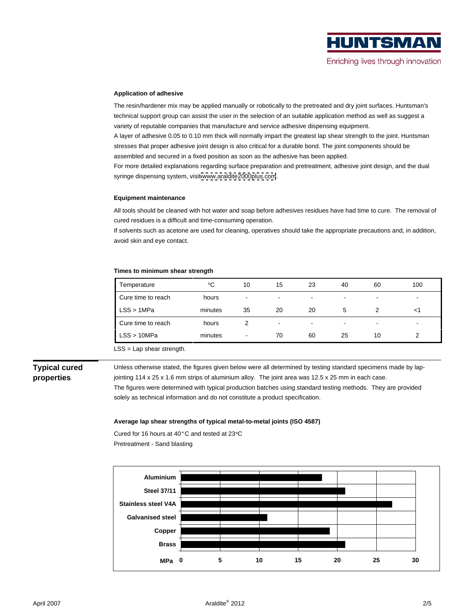### **Application of adhesive**

The resin/hardener mix may be applied manually or robotically to the pretreated and dry joint surfaces. Huntsman's technical support group can assist the user in the selection of an suitable application method as well as suggest a variety of reputable companies that manufacture and service adhesive dispensing equipment.

A layer of adhesive 0.05 to 0.10 mm thick will normally impart the greatest lap shear strength to the joint. Huntsman stresses that proper adhesive joint design is also critical for a durable bond. The joint components should be assembled and secured in a fixed position as soon as the adhesive has been applied.

For more detailed explanations regarding surface preparation and pretreatment, adhesive joint design, and the dual syringe dispensing system, visit [www.araldite2000plus.com](http://www.araldite2000plus.com).

### **Equipment maintenance**

All tools should be cleaned with hot water and soap before adhesives residues have had time to cure. The removal of cured residues is a difficult and time-consuming operation.

If solvents such as acetone are used for cleaning, operatives should take the appropriate precautions and, in addition, avoid skin and eye contact.

### **Times to minimum shear strength**

| Temperature        |         | 10 <sup>1</sup> |    | 23 | 40 | 60        | 100                            |
|--------------------|---------|-----------------|----|----|----|-----------|--------------------------------|
| Cure time to reach | hours   |                 |    |    |    |           |                                |
| LSS > 1MPa         | minutes | 35              | 20 |    |    |           | $<$ 1                          |
| Cure time to reach | hours   |                 |    |    |    |           | <b>Contract Contract State</b> |
| LSS > 10MPa        | minutes |                 | 70 |    | 25 | $10^{-1}$ |                                |

LSS = Lap shear strength.

**Typical cured**  Unless otherwise stated, the figures given below were all determined by testing standard specimens made by lap**properties** jointing 114 x 25 x 1.6 mm strips of aluminium alloy. The joint area was 12.5 x 25 mm in each case. The figures were determined with typical production batches using standard testing methods. They are provided solely as technical information and do not constitute a product specification.

### **Average lap shear strengths of typical metal-to-metal joints (ISO 4587)**

Cured for 16 hours at 40°C and tested at 23°C  $\,$ Pretreatment - Sand blasting

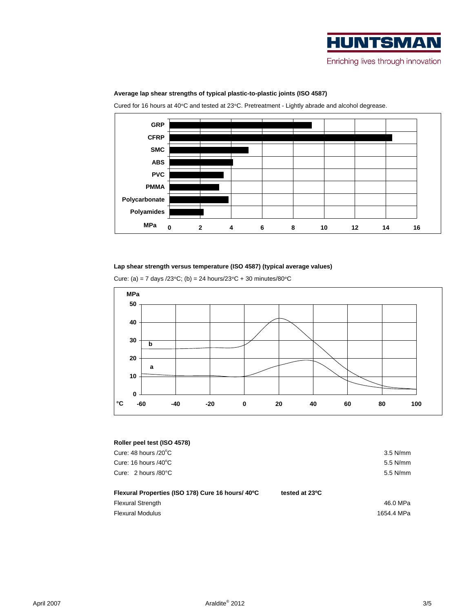

### **Average lap shear strengths of typical plastic-to-plastic joints (ISO 4587)**

Cured for 16 hours at 40°C and tested at 23°C. Pretreatment - Lightly abrade and alcohol degrease.



### **Lap shear strength versus temperature (ISO 4587) (typical average values)**

Cure: (a) = 7 days /23°C; (b) = 24 hours/23°C + 30 minutes/80°C



### **Roller peel test (ISO 4578)**

| Cure: 48 hours /20°C                                             | 3.5 N/mm   |
|------------------------------------------------------------------|------------|
| Cure: 16 hours /40°C                                             | 5.5 N/mm   |
| Cure: 2 hours /80°C                                              | 5.5 N/mm   |
|                                                                  |            |
| Flexural Properties (ISO 178) Cure 16 hours/ 40°C tested at 23°C |            |
| Flexural Strength                                                | 46.0 MPa   |
| <b>Flexural Modulus</b>                                          | 1654.4 MPa |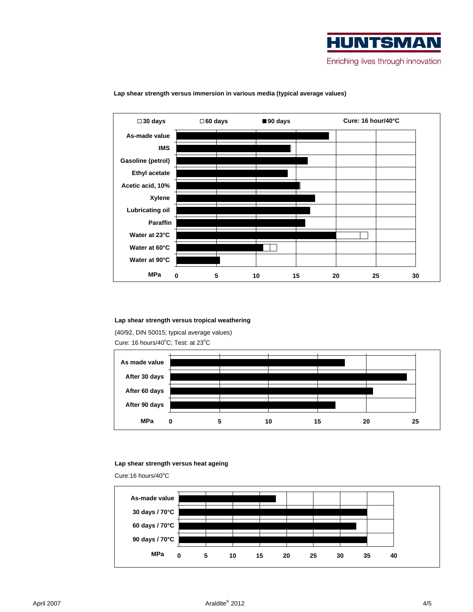



**Lap shear strength versus immersion in various media (typical average values)**

### **Lap shear strength versus tropical weathering**

(40/92, DIN 50015; typical average values) Cure: 16 hours/40°C; Test: at 23°C  $\,$ 



### **Lap shear strength versus heat ageing**